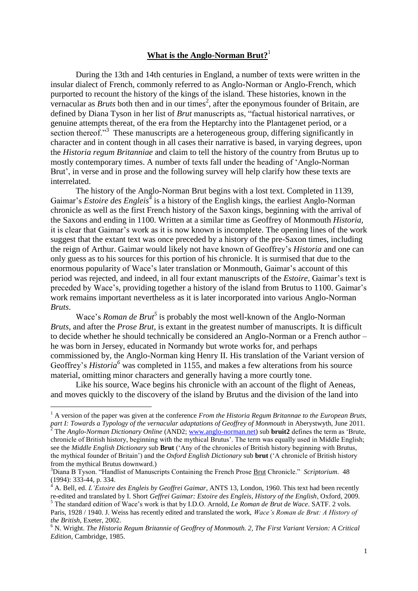## **What is the Anglo-Norman Brut?** 1

During the 13th and 14th centuries in England, a number of texts were written in the insular dialect of French, commonly referred to as Anglo-Norman or Anglo-French, which purported to recount the history of the kings of the island. These histories, known in the vernacular as *Bruts* both then and in our times<sup>2</sup>, after the eponymous founder of Britain, are defined by Diana Tyson in her list of *Brut* manuscripts as, "factual historical narratives, or genuine attempts thereat, of the era from the Heptarchy into the Plantagenet period, or a section thereof."<sup>3</sup> These manuscripts are a heterogeneous group, differing significantly in character and in content though in all cases their narrative is based, in varying degrees, upon the *Historia regum Britanniae* and claim to tell the history of the country from Brutus up to mostly contemporary times. A number of texts fall under the heading of 'Anglo-Norman Brut', in verse and in prose and the following survey will help clarify how these texts are interrelated.

The history of the Anglo-Norman Brut begins with a lost text. Completed in 1139, Gaimar's *Estoire des Engleis*<sup>4</sup> is a history of the English kings, the earliest Anglo-Norman chronicle as well as the first French history of the Saxon kings, beginning with the arrival of the Saxons and ending in 1100. Written at a similar time as Geoffrey of Monmouth *Historia*, it is clear that Gaimar's work as it is now known is incomplete. The opening lines of the work suggest that the extant text was once preceded by a history of the pre-Saxon times, including the reign of Arthur. Gaimar would likely not have known of Geoffrey's *Historia* and one can only guess as to his sources for this portion of his chronicle. It is surmised that due to the enormous popularity of Wace's later translation or Monmouth, Gaimar's account of this period was rejected, and indeed, in all four extant manuscripts of the *Estoire*, Gaimar's text is preceded by Wace's, providing together a history of the island from Brutus to 1100. Gaimar's work remains important nevertheless as it is later incorporated into various Anglo-Norman *Bruts*.

Wace's *Roman de Brut<sup>5</sup>* is probably the most well-known of the Anglo-Norman *Bruts*, and after the *Prose Brut*, is extant in the greatest number of manuscripts. It is difficult to decide whether he should technically be considered an Anglo-Norman or a French author – he was born in Jersey, educated in Normandy but wrote works for, and perhaps commissioned by, the Anglo-Norman king Henry II. His translation of the Variant version of Geoffrey's *Historia*<sup>6</sup> was completed in 1155, and makes a few alterations from his source material, omitting minor characters and generally having a more courtly tone.

Like his source, Wace begins his chronicle with an account of the flight of Aeneas, and moves quickly to the discovery of the island by Brutus and the division of the land into

<sup>&</sup>lt;sup>1</sup> A version of the paper was given at the conference *From the Historia Regum Britannae to the European Bruts,* part *I: Towards a Typology of the vernacular adaptations of Geoffrey of Monmouth* in Aberystwyth, June 2011.

<sup>2</sup> The *Anglo-Norman Dictionary Online* (AND2; [www.anglo-norman.net\)](http://www.anglo-norman.net/) sub **bruit2** defines the term as 'Brute, chronicle of British history, beginning with the mythical Brutus'. The term was equally used in Middle English; see the *Middle English Dictionary* sub **Brut** ('Any of the chronicles of British history beginning with Brutus, the mythical founder of Britain') and the *Oxford English Dictionary* sub **brut** ('A chronicle of British history from the mythical Brutus downward.)

<sup>3</sup>Diana B Tyson. "Handlist of Manuscripts Containing the French Prose Brut Chronicle." *Scriptorium*. 48 (1994): 333-44, p. 334.

<sup>4</sup> A. Bell, ed. *L'Estoire des Engleis by Geoffrei Gaimar*, ANTS 13, London, 1960. This text had been recently re-edited and translated by I. Short *Geffrei Gaimar: Estoire des Engleis, History of the English*, Oxford, 2009. <sup>5</sup> The standard edition of Wace's work is that by I.D.O. Arnold, *Le Roman de Brut de Wace*. SATF. 2 vols.

Paris, 1928 / 1940. J. Weiss has recently edited and translated the work, *Wace's Roman de Brut: A History of the British*, Exeter, 2002.

<sup>6</sup> N. Wright. *The Historia Regum Britannie of Geoffrey of Monmouth. 2, The First Variant Version: A Critical Edition*, Cambridge, 1985.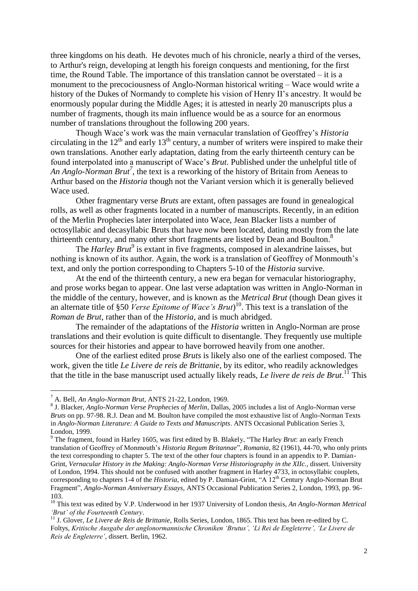three kingdoms on his death. He devotes much of his chronicle, nearly a third of the verses, to Arthur's reign, developing at length his foreign conquests and mentioning, for the first time, the Round Table. The importance of this translation cannot be overstated – it is a monument to the precociousness of Anglo-Norman historical writing – Wace would write a history of the Dukes of Normandy to complete his vision of Henry II's ancestry. It would be enormously popular during the Middle Ages; it is attested in nearly 20 manuscripts plus a number of fragments, though its main influence would be as a source for an enormous number of translations throughout the following 200 years.

Though Wace's work was the main vernacular translation of Geoffrey's *Historia* circulating in the  $12<sup>th</sup>$  and early  $13<sup>th</sup>$  century, a number of writers were inspired to make their own translations. Another early adaptation, dating from the early thirteenth century can be found interpolated into a manuscript of Wace's *Brut*. Published under the unhelpful title of *An Anglo-Norman Brut<sup>7</sup>* , the text is a reworking of the history of Britain from Aeneas to Arthur based on the *Historia* though not the Variant version which it is generally believed Wace used.

Other fragmentary verse *Bruts* are extant, often passages are found in genealogical rolls, as well as other fragments located in a number of manuscripts. Recently, in an edition of the Merlin Prophecies later interpolated into Wace, Jean Blacker lists a number of octosyllabic and decasyllabic Bruts that have now been located, dating mostly from the late thirteenth century, and many other short fragments are listed by Dean and Boulton.<sup>8</sup>

The *Harley Brut<sup>9</sup>* is extant in five fragments, composed in alexandrine laisses, but nothing is known of its author. Again, the work is a translation of Geoffrey of Monmouth's text, and only the portion corresponding to Chapters 5-10 of the *Historia* survive.

At the end of the thirteenth century, a new era began for vernacular historiography, and prose works began to appear. One last verse adaptation was written in Anglo-Norman in the middle of the century, however, and is known as the *Metrical Brut* (though Dean gives it an alternate title of §50 *Verse Epitome of Wace's Brut*) <sup>10</sup>. This text is a translation of the *Roman de Brut*, rather than of the *Historia*, and is much abridged.

The remainder of the adaptations of the *Historia* written in Anglo-Norman are prose translations and their evolution is quite difficult to disentangle. They frequently use multiple sources for their histories and appear to have borrowed heavily from one another.

One of the earliest edited prose *Bruts* is likely also one of the earliest composed. The work, given the title *Le Livere de reis de Brittanie*, by its editor, who readily acknowledges that the title in the base manuscript used actually likely reads, *Le livere de reis de Brut*. <sup>11</sup> This

 $\overline{a}$ 

<sup>7</sup> A. Bell, *An Anglo-Norman Brut*, ANTS 21-22, London, 1969.

<sup>8</sup> J. Blacker, *Anglo-Norman Verse Prophecies of Merlin*, Dallas, 2005 includes a list of Anglo-Norman verse *Bruts* on pp. 97-98. R.J. Dean and M. Boulton have compiled the most exhaustive list of Anglo-Norman Texts in *Anglo-Norman Literature: A Guide to Texts and Manuscripts*. ANTS Occasional Publication Series 3, London, 1999.

<sup>9</sup> The fragment, found in Harley 1605, was first edited by B. Blakely, "The Harley *Brut*: an early French translation of Geoffrey of Monmouth's *Historia Regum Britannae*", *Romania*, 82 (1961), 44-70, who only prints the text corresponding to chapter 5. The text of the other four chapters is found in an appendix to P. Damian-Grint, *Vernacular History in the Making: Anglo-Norman Verse Historiography in the XIIc.*, dissert. University of London, 1994. This should not be confused with another fragment in Harley 4733, in octosyllabic couplets, corresponding to chapters 1-4 of the *Historia*, edited by P. Damian-Grint, "A 12<sup>th</sup> Century Anglo-Norman Brut Fragment", *Anglo-Norman Anniversary Essays*, ANTS Occasional Publication Series 2, London, 1993, pp. 96- 103.

<sup>10</sup> This text was edited by V.P. Underwood in her 1937 University of London thesis, *An Anglo-Norman Metrical 'Brut' of the Fourteenth Century*.

<sup>&</sup>lt;sup>11</sup> J. Glover, *Le Livere de Reis de Brittanie*, Rolls Series, London, 1865. This text has been re-edited by C. Foltys, *Kritische Ausgabe der anglonormannische Chroniken 'Brutus', 'Li Rei de Engleterre', 'Le Livere de Reis de Engleterre'*, dissert. Berlin, 1962.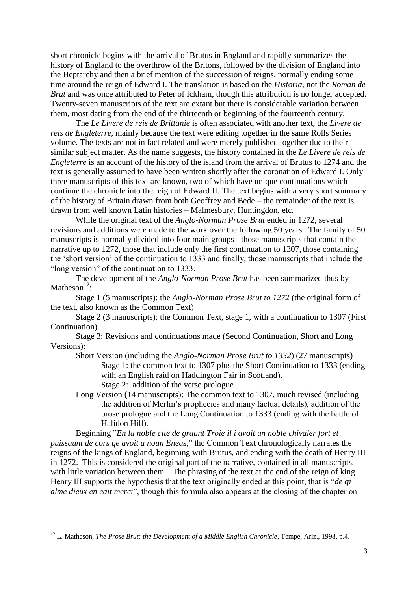short chronicle begins with the arrival of Brutus in England and rapidly summarizes the history of England to the overthrow of the Britons, followed by the division of England into the Heptarchy and then a brief mention of the succession of reigns, normally ending some time around the reign of Edward I. The translation is based on the *Historia*, not the *Roman de Brut* and was once attributed to Peter of Ickham, though this attribution is no longer accepted. Twenty-seven manuscripts of the text are extant but there is considerable variation between them, most dating from the end of the thirteenth or beginning of the fourteenth century.

The *Le Livere de reis de Brittanie* is often associated with another text, the *Livere de reis de Engleterre*, mainly because the text were editing together in the same Rolls Series volume. The texts are not in fact related and were merely published together due to their similar subject matter. As the name suggests, the history contained in the *Le Livere de reis de Engleterre* is an account of the history of the island from the arrival of Brutus to 1274 and the text is generally assumed to have been written shortly after the coronation of Edward I. Only three manuscripts of this text are known, two of which have unique continuations which continue the chronicle into the reign of Edward II. The text begins with a very short summary of the history of Britain drawn from both Geoffrey and Bede – the remainder of the text is drawn from well known Latin histories – Malmesbury, Huntingdon, etc.

While the original text of the *Anglo-Norman Prose Brut* ended in 1272, several revisions and additions were made to the work over the following 50 years. The family of 50 manuscripts is normally divided into four main groups - those manuscripts that contain the narrative up to 1272, those that include only the first continuation to 1307, those containing the 'short version' of the continuation to 1333 and finally, those manuscripts that include the "long version" of the continuation to 1333.

The development of the *Anglo*-*Norman Prose Brut* has been summarized thus by Matheson $^{12}$ :

Stage 1 (5 manuscripts): the *Anglo-Norman Prose Brut to 1272* (the original form of the text, also known as the Common Text)

Stage 2 (3 manuscripts): the Common Text, stage 1, with a continuation to 1307 (First Continuation).

Stage 3: Revisions and continuations made (Second Continuation, Short and Long Versions):

- Short Version (including the *Anglo-Norman Prose Brut to 1332*) (27 manuscripts) Stage 1: the common text to 1307 plus the Short Continuation to 1333 (ending with an English raid on Haddington Fair in Scotland). Stage 2: addition of the verse prologue
- Long Version (14 manuscripts): The common text to 1307, much revised (including the addition of Merlin's prophecies and many factual details), addition of the prose prologue and the Long Continuation to 1333 (ending with the battle of Halidon Hill).

Beginning "*En la noble cite de graunt Troie il i avoit un noble chivaler fort et puissaunt de cors qe avoit a noun Eneas*," the Common Text chronologically narrates the reigns of the kings of England, beginning with Brutus, and ending with the death of Henry III in 1272. This is considered the original part of the narrative, contained in all manuscripts, with little variation between them. The phrasing of the text at the end of the reign of king Henry III supports the hypothesis that the text originally ended at this point, that is "*de qi alme dieux en eait merci*", though this formula also appears at the closing of the chapter on

<sup>&</sup>lt;sup>12</sup> L. Matheson, *The Prose Brut: the Development of a Middle English Chronicle*, Tempe, Ariz., 1998, p.4.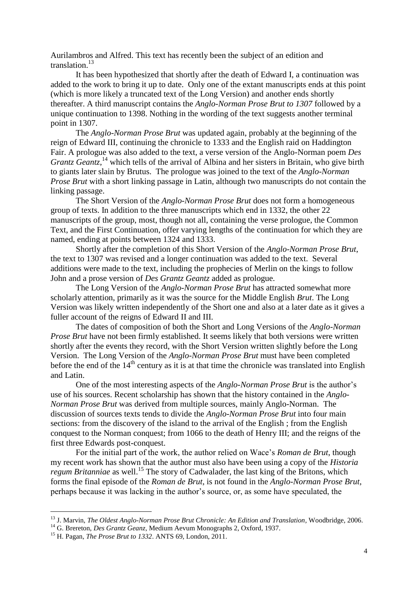Aurilambros and Alfred. This text has recently been the subject of an edition and translation. 13

It has been hypothesized that shortly after the death of Edward I, a continuation was added to the work to bring it up to date. Only one of the extant manuscripts ends at this point (which is more likely a truncated text of the Long Version) and another ends shortly thereafter. A third manuscript contains the *Anglo-Norman Prose Brut to 1307* followed by a unique continuation to 1398. Nothing in the wording of the text suggests another terminal point in 1307.

The *Anglo-Norman Prose Brut* was updated again, probably at the beginning of the reign of Edward III, continuing the chronicle to 1333 and the English raid on Haddington Fair. A prologue was also added to the text, a verse version of the Anglo-Norman poem *Des*  Grantz Geantz,<sup>14</sup> which tells of the arrival of Albina and her sisters in Britain, who give birth to giants later slain by Brutus. The prologue was joined to the text of the *Anglo-Norman Prose Brut* with a short linking passage in Latin, although two manuscripts do not contain the linking passage.

The Short Version of the *Anglo-Norman Prose Brut* does not form a homogeneous group of texts. In addition to the three manuscripts which end in 1332, the other 22 manuscripts of the group, most, though not all, containing the verse prologue, the Common Text, and the First Continuation, offer varying lengths of the continuation for which they are named, ending at points between 1324 and 1333.

Shortly after the completion of this Short Version of the *Anglo-Norman Prose Brut*, the text to 1307 was revised and a longer continuation was added to the text. Several additions were made to the text, including the prophecies of Merlin on the kings to follow John and a prose version of *Des Grantz Geantz* added as prologue.

The Long Version of the *Anglo-Norman Prose Brut* has attracted somewhat more scholarly attention, primarily as it was the source for the Middle English *Brut*. The Long Version was likely written independently of the Short one and also at a later date as it gives a fuller account of the reigns of Edward II and III.

The dates of composition of both the Short and Long Versions of the *Anglo-Norman Prose Brut* have not been firmly established. It seems likely that both versions were written shortly after the events they record, with the Short Version written slightly before the Long Version. The Long Version of the *Anglo-Norman Prose Brut* must have been completed before the end of the  $14<sup>th</sup>$  century as it is at that time the chronicle was translated into English and Latin.

One of the most interesting aspects of the *Anglo-Norman Prose Brut* is the author's use of his sources. Recent scholarship has shown that the history contained in the *Anglo-Norman Prose Brut* was derived from multiple sources, mainly Anglo-Norman. The discussion of sources texts tends to divide the *Anglo-Norman Prose Brut* into four main sections: from the discovery of the island to the arrival of the English ; from the English conquest to the Norman conquest; from 1066 to the death of Henry III; and the reigns of the first three Edwards post-conquest.

For the initial part of the work, the author relied on Wace's *Roman de Brut*, though my recent work has shown that the author must also have been using a copy of the *Historia regum Britanniae* as well.<sup>15</sup> The story of Cadwalader, the last king of the Britons, which forms the final episode of the *Roman de Brut*, is not found in the *Anglo-Norman Prose Brut*, perhaps because it was lacking in the author's source, or, as some have speculated, the

 $\overline{a}$ 

<sup>13</sup> J. Marvin, *The Oldest Anglo-Norman Prose Brut Chronicle: An Edition and Translation*, Woodbridge, 2006.

<sup>14</sup> G. Brereton, *Des Grantz Geanz*, Medium Aevum Monographs 2, Oxford, 1937.

<sup>15</sup> H. Pagan, *The Prose Brut to 1332*. ANTS 69, London, 2011.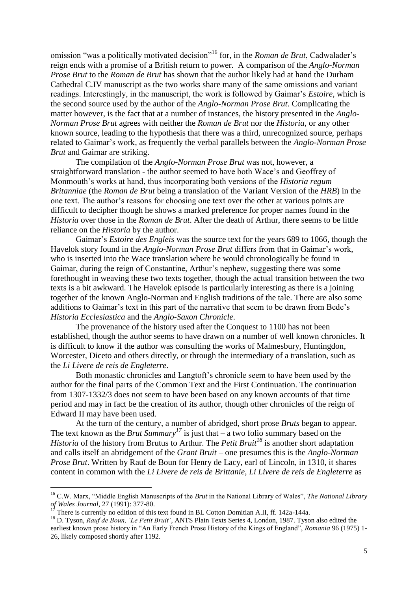omission "was a politically motivated decision"<sup>16</sup> for, in the *Roman de Brut*, Cadwalader's reign ends with a promise of a British return to power. A comparison of the *Anglo-Norman Prose Brut* to the *Roman de Brut* has shown that the author likely had at hand the Durham Cathedral C.IV manuscript as the two works share many of the same omissions and variant readings. Interestingly, in the manuscript, the work is followed by Gaimar's *Estoire*, which is the second source used by the author of the *Anglo-Norman Prose Brut*. Complicating the matter however, is the fact that at a number of instances, the history presented in the *Anglo-Norman Prose Brut* agrees with neither the *Roman de Brut* nor the *Historia*, or any other known source, leading to the hypothesis that there was a third, unrecognized source, perhaps related to Gaimar's work, as frequently the verbal parallels between the *Anglo-Norman Prose Brut* and Gaimar are striking.

The compilation of the *Anglo-Norman Prose Brut* was not, however, a straightforward translation - the author seemed to have both Wace's and Geoffrey of Monmouth's works at hand, thus incorporating both versions of the *Historia regum Britanniae* (the *Roman de Brut* being a translation of the Variant Version of the *HRB*) in the one text. The author's reasons for choosing one text over the other at various points are difficult to decipher though he shows a marked preference for proper names found in the *Historia* over those in the *Roman de Brut*. After the death of Arthur, there seems to be little reliance on the *Historia* by the author.

Gaimar's *Estoire des Engleis* was the source text for the years 689 to 1066, though the Havelok story found in the *Anglo-Norman Prose Brut* differs from that in Gaimar's work, who is inserted into the Wace translation where he would chronologically be found in Gaimar, during the reign of Constantine, Arthur's nephew, suggesting there was some forethought in weaving these two texts together, though the actual transition between the two texts is a bit awkward. The Havelok episode is particularly interesting as there is a joining together of the known Anglo-Norman and English traditions of the tale. There are also some additions to Gaimar's text in this part of the narrative that seem to be drawn from Bede's *Historia Ecclesiastica* and the *Anglo-Saxon Chronicle*.

The provenance of the history used after the Conquest to 1100 has not been established, though the author seems to have drawn on a number of well known chronicles. It is difficult to know if the author was consulting the works of Malmesbury, Huntingdon, Worcester, Diceto and others directly, or through the intermediary of a translation, such as the *Li Livere de reis de Engleterre*.

Both monastic chronicles and Langtoft's chronicle seem to have been used by the author for the final parts of the Common Text and the First Continuation. The continuation from 1307-1332/3 does not seem to have been based on any known accounts of that time period and may in fact be the creation of its author, though other chronicles of the reign of Edward II may have been used.

At the turn of the century, a number of abridged, short prose *Bruts* began to appear. The text known as the *Brut Summary*<sup>17</sup> is just that – a two folio summary based on the *Historia* of the history from Brutus to Arthur. The *Petit Bruit<sup>18</sup>* is another short adaptation and calls itself an abridgement of the *Grant Bruit* – one presumes this is the *Anglo-Norman Prose Brut*. Written by Rauf de Boun for Henry de Lacy, earl of Lincoln, in 1310, it shares content in common with the *Li Livere de reis de Brittanie*, *Li Livere de reis de Engleterre* as

<sup>16</sup> C.W. Marx, "Middle English Manuscripts of the *Brut* in the National Library of Wales", *The National Library of Wales Journal*, 27 (1991): 377-80.

<sup>17</sup> There is currently no edition of this text found in BL Cotton Domitian A.II, ff. 142a-144a.

<sup>&</sup>lt;sup>18</sup> D. Tyson, *Rauf de Boun, 'Le Petit Bruit'*, ANTS Plain Texts Series 4, London, 1987. Tyson also edited the earliest known prose history in "An Early French Prose History of the Kings of England", *Romania* 96 (1975) 1- 26, likely composed shortly after 1192.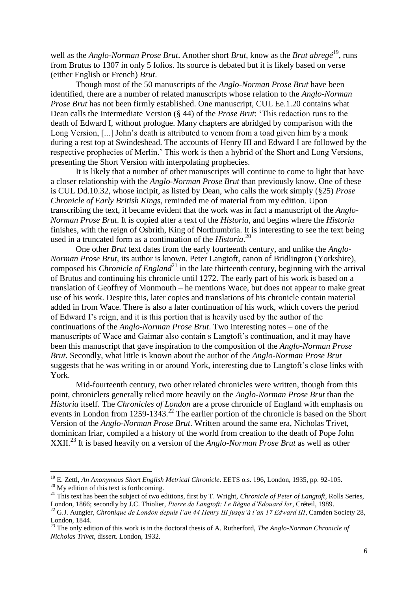well as the *Anglo-Norman Prose Brut*. Another short *Brut*, know as the *Brut abregé*<sup>19</sup>, runs from Brutus to 1307 in only 5 folios. Its source is debated but it is likely based on verse (either English or French) *Brut*.

Though most of the 50 manuscripts of the *Anglo-Norman Prose Brut* have been identified, there are a number of related manuscripts whose relation to the *Anglo-Norman Prose Brut* has not been firmly established. One manuscript, CUL Ee.1.20 contains what Dean calls the Intermediate Version (§ 44) of the *Prose Brut*: 'This redaction runs to the death of Edward I, without prologue. Many chapters are abridged by comparison with the Long Version, [...] John's death is attributed to venom from a toad given him by a monk during a rest top at Swindeshead. The accounts of Henry III and Edward I are followed by the respective prophecies of Merlin.' This work is then a hybrid of the Short and Long Versions, presenting the Short Version with interpolating prophecies.

It is likely that a number of other manuscripts will continue to come to light that have a closer relationship with the *Anglo-Norman Prose Brut* than previously know. One of these is CUL Dd.10.32, whose incipit, as listed by Dean, who calls the work simply (§25) *Prose Chronicle of Early British Kings*, reminded me of material from my edition. Upon transcribing the text, it became evident that the work was in fact a manuscript of the *Anglo-Norman Prose Brut*. It is copied after a text of the *Historia*, and begins where the *Historia* finishes, with the reign of Osbrith, King of Northumbria. It is interesting to see the text being used in a truncated form as a continuation of the *Historia*. 20

One other *Brut* text dates from the early fourteenth century, and unlike the *Anglo-Norman Prose Brut*, its author is known. Peter Langtoft, canon of Bridlington (Yorkshire), composed his *Chronicle of England*<sup>21</sup> in the late thirteenth century, beginning with the arrival of Brutus and continuing his chronicle until 1272. The early part of his work is based on a translation of Geoffrey of Monmouth – he mentions Wace, but does not appear to make great use of his work. Despite this, later copies and translations of his chronicle contain material added in from Wace. There is also a later continuation of his work, which covers the period of Edward I's reign, and it is this portion that is heavily used by the author of the continuations of the *Anglo-Norman Prose Brut*. Two interesting notes – one of the manuscripts of Wace and Gaimar also contain s Langtoft's continuation, and it may have been this manuscript that gave inspiration to the composition of the *Anglo-Norman Prose Brut*. Secondly, what little is known about the author of the *Anglo-Norman Prose Brut* suggests that he was writing in or around York, interesting due to Langtoft's close links with York.

Mid-fourteenth century, two other related chronicles were written, though from this point, chroniclers generally relied more heavily on the *Anglo-Norman Prose Brut* than the *Historia* itself. The *Chronicles of London* are a prose chronicle of England with emphasis on events in London from 1259-1343.<sup>22</sup> The earlier portion of the chronicle is based on the Short Version of the *Anglo-Norman Prose Brut*. Written around the same era, Nicholas Trivet, dominican friar, compiled a a history of the world from creation to the death of Pope John XXII.<sup>23</sup> It is based heavily on a version of the *Anglo-Norman Prose Brut* as well as other

 $\overline{a}$ 

<sup>19</sup> E. Zettl, *An Anonymous Short English Metrical Chronicle*. EETS o.s. 196, London, 1935, pp. 92-105.

 $^{20}$  My edition of this text is forthcoming.

<sup>&</sup>lt;sup>21</sup> This text has been the subject of two editions, first by T. Wright, *Chronicle of Peter of Langtoft*, Rolls Series, London, 1866; secondly by J.C. Thiolier, *Pierre de Langtoft: Le Règne d'Edouard Ier*, Créteil, 1989.

<sup>&</sup>lt;sup>22</sup> G.J. Aungier, *Chronique de London depuis l'an 44 Henry III jusqu'à l'an 17 Edward III*, Camden Society 28, London, 1844.

<sup>&</sup>lt;sup>23</sup> The only edition of this work is in the doctoral thesis of A. Rutherford, *The Anglo-Norman Chronicle of Nicholas Trivet*, dissert. London, 1932.